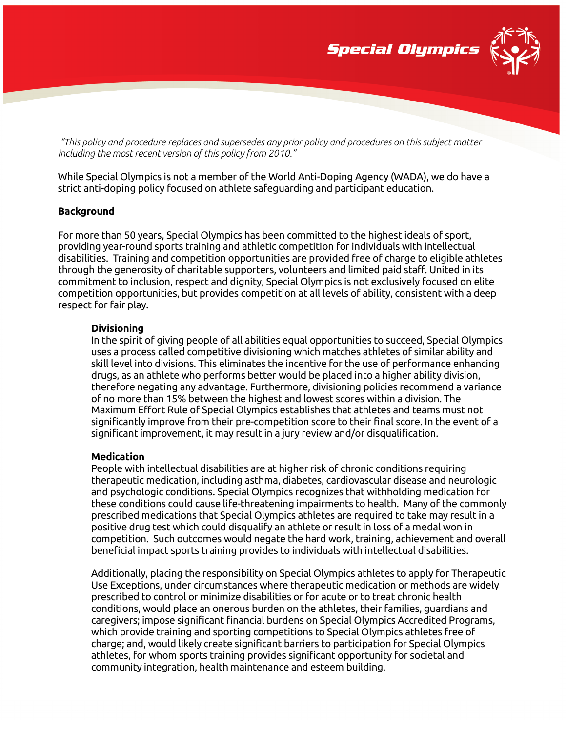

For more than 50 years, Special Olympics has been committed to the highest ideals of sport,

providing year-round sports training and athletic competition for individuals with intellectual disabilities. Training and competition opportunities are provided free of charge to eligible athletes through the generosity of charitable supporters, volunteers and limited paid staff. United in its commitment to inclusion, respect and dignity, Special Olympics is not exclusively focused on elite competition opportunities, but provides competition at all levels of ability, consistent with a deep respect for fair play.

*"This policy and procedure replaces and supersedes any prior policy and procedures on this subject matter* 

While Special Olympics is not a member of the World Anti-Doping Agency (WADA), we do have a

strict anti-doping policy focused on athlete safeguarding and participant education.

## **Divisioning**

**Background**

*including the most recent version of this policy from 2010."*

In the spirit of giving people of all abilities equal opportunities to succeed, Special Olympics uses a process called competitive divisioning which matches athletes of similar ability and skill level into divisions. This eliminates the incentive for the use of performance enhancing drugs, as an athlete who performs better would be placed into a higher ability division, therefore negating any advantage. Furthermore, divisioning policies recommend a variance of no more than 15% between the highest and lowest scores within a division. The Maximum Effort Rule of Special Olympics establishes that athletes and teams must not significantly improve from their pre-competition score to their final score. In the event of a significant improvement, it may result in a jury review and/or disqualification.

## **Medication**

People with intellectual disabilities are at higher risk of chronic conditions requiring therapeutic medication, including asthma, diabetes, cardiovascular disease and neurologic and psychologic conditions. Special Olympics recognizes that withholding medication for these conditions could cause life-threatening impairments to health. Many of the commonly prescribed medications that Special Olympics athletes are required to take may result in a positive drug test which could disqualify an athlete or result in loss of a medal won in competition. Such outcomes would negate the hard work, training, achievement and overall beneficial impact sports training provides to individuals with intellectual disabilities.

Additionally, placing the responsibility on Special Olympics athletes to apply for Therapeutic Use Exceptions, under circumstances where therapeutic medication or methods are widely prescribed to control or minimize disabilities or for acute or to treat chronic health conditions, would place an onerous burden on the athletes, their families, guardians and caregivers; impose significant financial burdens on Special Olympics Accredited Programs, which provide training and sporting competitions to Special Olympics athletes free of charge; and, would likely create significant barriers to participation for Special Olympics athletes, for whom sports training provides significant opportunity for societal and community integration, health maintenance and esteem building.